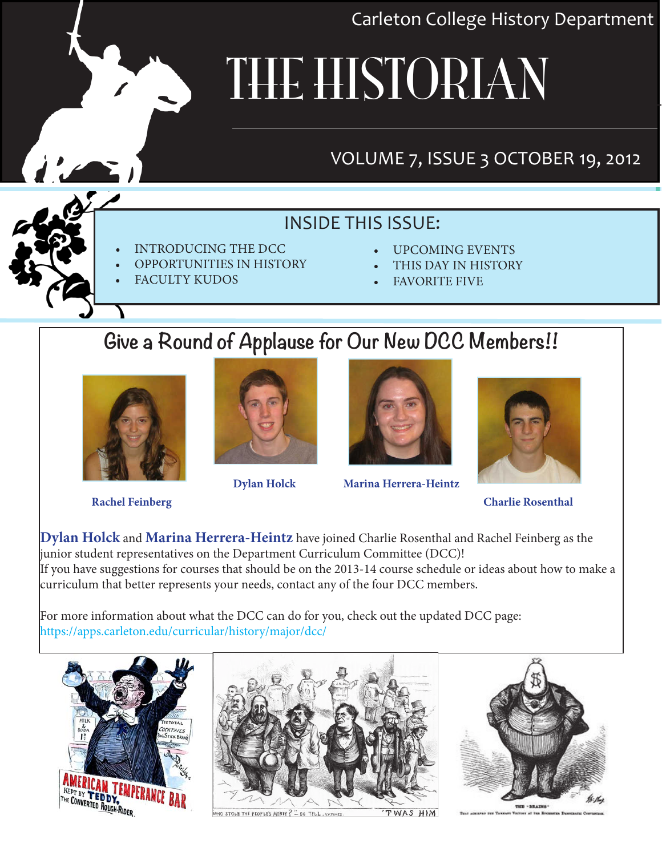Carleton College History Department

# THE HISTORIAN

## VOLUME 7, ISSUE 3 OCTOBER 19, 2012

### INSIDE THIS ISSUE:

- **INTRODUCING THE DCC**
- **OPPORTUNITIES IN HISTORY**
- **FACULTY KUDOS**
- UPCOMING EVENTS
- THIS DAY IN HISTORY
- **FAVORITE FIVE**

## **Give a Round of Applause for Our New DCC Members!!**







 **Dylan Holck Marina Herrera-Heintz**



 **Rachel Feinberg Charlie Rosenthal** 

**Dylan Holck** and **Marina Herrera-Heintz** have joined Charlie Rosenthal and Rachel Feinberg as the junior student representatives on the Department Curriculum Committee (DCC)! If you have suggestions for courses that should be on the 2013-14 course schedule or ideas about how to make a curriculum that better represents your needs, contact any of the four DCC members.

For more information about what the DCC can do for you, check out the updated DCC page: https://apps.carleton.edu/curricular/history/major/dcc/





STOLE THE PEOPLE'S MONEY ? - DO TELL, NYTIME

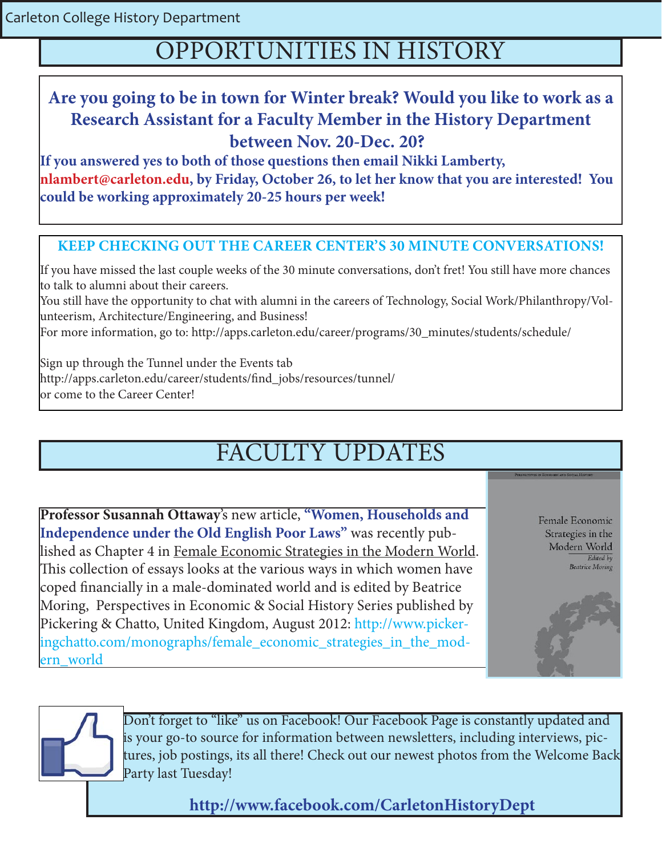Carleton College History Department

## OPPORTUNITIES IN HISTORY

### **Are you going to be in town for Winter break? Would you like to work as a Research Assistant for a Faculty Member in the History Department between Nov. 20-Dec. 20?**

**If you answered yes to both of those questions then email Nikki Lamberty, nlambert@carleton.edu, by Friday, October 26, to let her know that you are interested! You could be working approximately 20-25 hours per week!** 

#### **KEEP CHECKING OUT THE CAREER CENTER'S 30 MINUTE CONVERSATIONS!**

If you have missed the last couple weeks of the 30 minute conversations, don't fret! You still have more chances to talk to alumni about their careers.

You still have the opportunity to chat with alumni in the careers of Technology, Social Work/Philanthropy/Volunteerism, Architecture/Engineering, and Business!

For more information, go to: http://apps.carleton.edu/career/programs/30\_minutes/students/schedule/

Sign up through the Tunnel under the Events tab http://apps.carleton.edu/career/students/find\_jobs/resources/tunnel/ or come to the Career Center!

# FACULTY UPDATES

**Professor Susannah Ottaway**'s new article, **"Women, Households and Independence under the Old English Poor Laws"** was recently published as Chapter 4 in Female Economic Strategies in the Modern World. This collection of essays looks at the various ways in which women have coped financially in a male-dominated world and is edited by Beatrice Moring, Perspectives in Economic & Social History Series published by Pickering & Chatto, United Kingdom, August 2012: http://www.pickeringchatto.com/monographs/female\_economic\_strategies\_in\_the\_modern\_world

Female Economic Strategies in the Modern World Edited by **Beatrice Moring** 





Don't forget to "like" us on Facebook! Our Facebook Page is constantly updated and is your go-to source for information between newsletters, including interviews, pictures, job postings, its all there! Check out our newest photos from the Welcome Back Party last Tuesday!

**http://www.facebook.com/CarletonHistoryDept**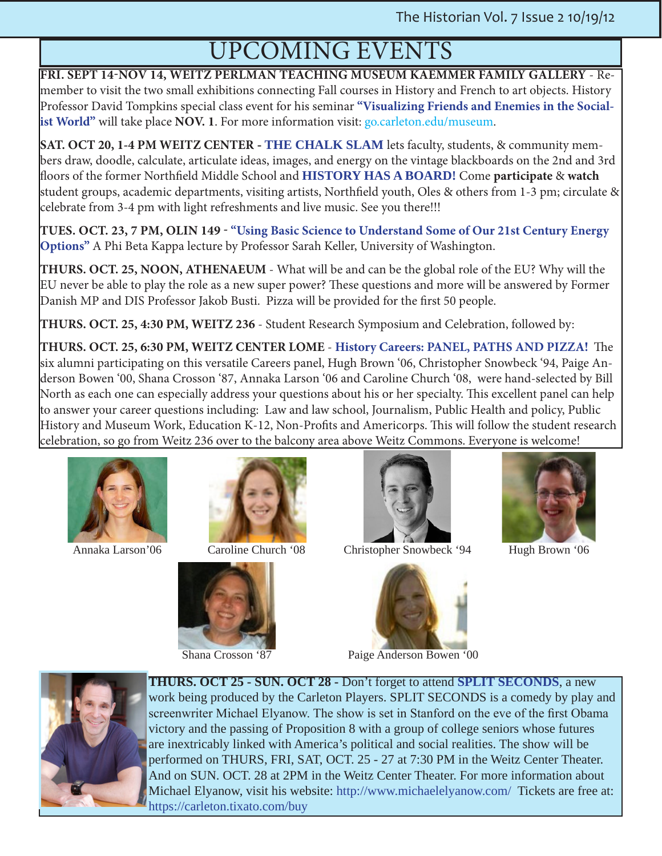# UPCOMING EVENTS

**FRI. SEPT 14-NOV 14, WEITZ PERLMAN TEACHING MUSEUM KAEMMER FAMILY GALLERY** - Remember to visit the two small exhibitions connecting Fall courses in History and French to art objects. History Professor David Tompkins special class event for his seminar **"Visualizing Friends and Enemies in the Socialist World"** will take place **NOV. 1**. For more information visit: go.carleton.edu/museum.

**SAT. OCT 20, 1-4 PM WEITZ CENTER - THE CHALK SLAM** lets faculty, students, & community members draw, doodle, calculate, articulate ideas, images, and energy on the vintage blackboards on the 2nd and 3rd floors of the former Northfield Middle School and **HISTORY HAS A BOARD!** Come **participate** & **watch** student groups, academic departments, visiting artists, Northfield youth, Oles & others from 1-3 pm; circulate & celebrate from 3-4 pm with light refreshments and live music. See you there!!!

**TUES. OCT. 23, 7 PM, OLIN 149 - "Using Basic Science to Understand Some of Our 21st Century Energy Options"** A Phi Beta Kappa lecture by Professor Sarah Keller, University of Washington.

**THURS. OCT. 25, NOON, ATHENAEUM** - What will be and can be the global role of the EU? Why will the EU never be able to play the role as a new super power? These questions and more will be answered by Former Danish MP and DIS Professor Jakob Busti. Pizza will be provided for the first 50 people.

**THURS. OCT. 25, 4:30 PM, WEITZ 236** - Student Research Symposium and Celebration, followed by:

**THURS. OCT. 25, 6:30 PM, WEITZ CENTER LOME** - **History Careers: PANEL, PATHS AND PIZZA!** The six alumni participating on this versatile Careers panel, Hugh Brown '06, Christopher Snowbeck '94, Paige Anderson Bowen '00, Shana Crosson '87, Annaka Larson '06 and Caroline Church '08, were hand-selected by Bill North as each one can especially address your questions about his or her specialty. This excellent panel can help to answer your career questions including: Law and law school, Journalism, Public Health and policy, Public History and Museum Work, Education K-12, Non-Profits and Americorps. This will follow the student research celebration, so go from Weitz 236 over to the balcony area above Weitz Commons. Everyone is welcome!









Annaka Larson'06 Caroline Church '08 Christopher Snowbeck '94 Hugh Brown '06





Shana Crosson '87 Paige Anderson Bowen '00



**THURS. OCT 25 - SUN. OCT 28 -** Don't forget to attend **SPLIT SECONDS**, a new work being produced by the Carleton Players. SPLIT SECONDS is a comedy by play and screenwriter Michael Elyanow. The show is set in Stanford on the eve of the first Obama victory and the passing of Proposition 8 with a group of college seniors whose futures are inextricably linked with America's political and social realities. The show will be performed on THURS, FRI, SAT, OCT. 25 - 27 at 7:30 PM in the Weitz Center Theater. And on SUN. OCT. 28 at 2PM in the Weitz Center Theater. For more information about Michael Elyanow, visit his website: http://www.michaelelyanow.com/ Tickets are free at: https://carleton.tixato.com/buy